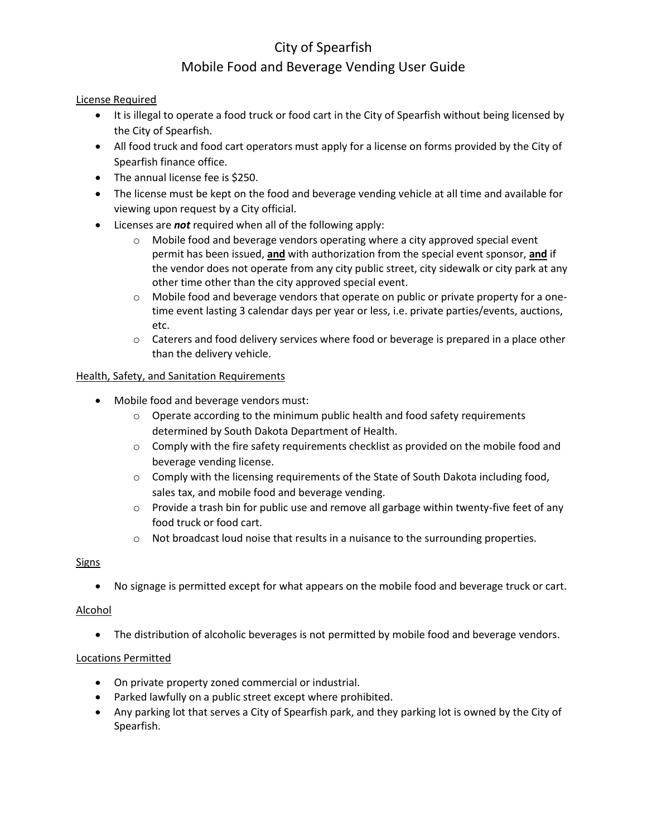# City of Spearfish Mobile Food and Beverage Vending User Guide

## License Required

- It is illegal to operate a food truck or food cart in the City of Spearfish without being licensed by the City of Spearfish.
- All food truck and food cart operators must apply for a license on forms provided by the City of Spearfish finance office.
- The annual license fee is \$250.
- The license must be kept on the food and beverage vending vehicle at all time and available for viewing upon request by a City official.
- Licenses are *not* required when all of the following apply:
	- $\circ$  Mobile food and beverage vendors operating where a city approved special event permit has been issued, **and** with authorization from the special event sponsor, **and** if the vendor does not operate from any city public street, city sidewalk or city park at any other time other than the city approved special event.
	- $\circ$  Mobile food and beverage vendors that operate on public or private property for a onetime event lasting 3 calendar days per year or less, i.e. private parties/events, auctions, etc.
	- $\circ$  Caterers and food delivery services where food or beverage is prepared in a place other than the delivery vehicle.

## Health, Safety, and Sanitation Requirements

- Mobile food and beverage vendors must:
	- o Operate according to the minimum public health and food safety requirements determined by South Dakota Department of Health.
	- $\circ$  Comply with the fire safety requirements checklist as provided on the mobile food and beverage vending license.
	- $\circ$  Comply with the licensing requirements of the State of South Dakota including food, sales tax, and mobile food and beverage vending.
	- $\circ$  Provide a trash bin for public use and remove all garbage within twenty-five feet of any food truck or food cart.
	- $\circ$  Not broadcast loud noise that results in a nuisance to the surrounding properties.

#### **Signs**

No signage is permitted except for what appears on the mobile food and beverage truck or cart.

#### Alcohol

• The distribution of alcoholic beverages is not permitted by mobile food and beverage vendors.

#### Locations Permitted

- On private property zoned commercial or industrial.
- Parked lawfully on a public street except where prohibited.
- Any parking lot that serves a City of Spearfish park, and they parking lot is owned by the City of Spearfish.